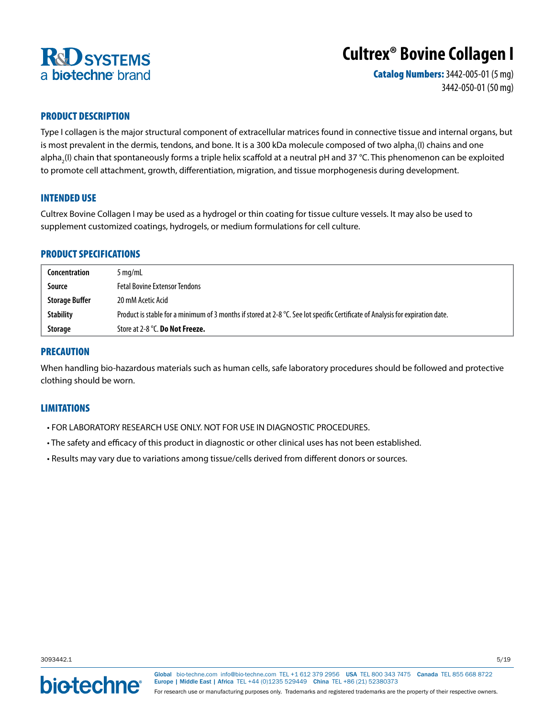

# **Cultrex® Bovine Collagen I**

Catalog Numbers: 3442-005-01 (5 mg) 3442-050-01 (50 mg)

# PRODUCT DESCRIPTION

Type I collagen is the major structural component of extracellular matrices found in connective tissue and internal organs, but is most prevalent in the dermis, tendons, and bone. It is a 300 kDa molecule composed of two alpha<sub>1</sub>(I) chains and one alpha<sub>2</sub>(I) chain that spontaneously forms a triple helix scaffold at a neutral pH and 37 °C. This phenomenon can be exploited to promote cell attachment, growth, differentiation, migration, and tissue morphogenesis during development.

## INTENDED USE

Cultrex Bovine Collagen I may be used as a hydrogel or thin coating for tissue culture vessels. It may also be used to supplement customized coatings, hydrogels, or medium formulations for cell culture.

# PRODUCT SPECIFICATIONS

| Concentration         | $5 \,\mathrm{mq/mL}$                                                                                                           |
|-----------------------|--------------------------------------------------------------------------------------------------------------------------------|
| Source                | <b>Fetal Bovine Extensor Tendons</b>                                                                                           |
| <b>Storage Buffer</b> | 20 mM Acetic Acid                                                                                                              |
| <b>Stability</b>      | Product is stable for a minimum of 3 months if stored at 2-8 °C. See lot specific Certificate of Analysis for expiration date. |
| <b>Storage</b>        | Store at 2-8 °C. Do Not Freeze.                                                                                                |

## PRECAUTION

When handling bio-hazardous materials such as human cells, safe laboratory procedures should be followed and protective clothing should be worn.

## LIMITATIONS

- FOR LABORATORY RESEARCH USE ONLY. NOT FOR USE IN DIAGNOSTIC PROCEDURES.
- The safety and efficacy of this product in diagnostic or other clinical uses has not been established.
- Results may vary due to variations among tissue/cells derived from different donors or sources.

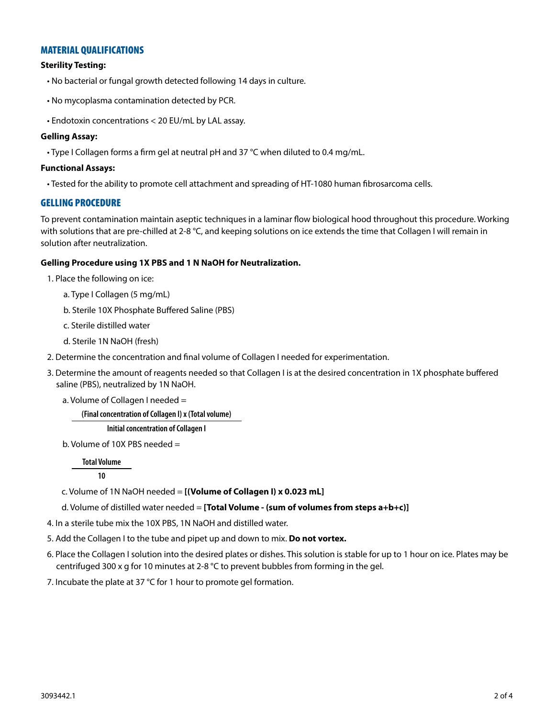# MATERIAL QUALIFICATIONS

## **Sterility Testing:**

- No bacterial or fungal growth detected following 14 days in culture.
- No mycoplasma contamination detected by PCR.
- Endotoxin concentrations < 20 EU/mL by LAL assay.

#### **Gelling Assay:**

• Type I Collagen forms a firm gel at neutral pH and 37 °C when diluted to 0.4 mg/mL.

#### **Functional Assays:**

• Tested for the ability to promote cell attachment and spreading of HT-1080 human fibrosarcoma cells.

## GELLING PROCEDURE

To prevent contamination maintain aseptic techniques in a laminar flow biological hood throughout this procedure. Working with solutions that are pre-chilled at 2-8  $^{\circ}$ C, and keeping solutions on ice extends the time that Collagen I will remain in solution after neutralization.

#### **Gelling Procedure using 1X PBS and 1 N NaOH for Neutralization.**

- 1. Place the following on ice:
	- a. Type I Collagen (5 mg/mL)
	- b. Sterile 10X Phosphate Buffered Saline (PBS)
	- c. Sterile distilled water
	- d. Sterile 1N NaOH (fresh)
- 2. Determine the concentration and final volume of Collagen I needed for experimentation.
- 3. Determine the amount of reagents needed so that Collagen I is at the desired concentration in 1X phosphate buffered saline (PBS), neutralized by 1N NaOH.
	- a. Volume of Collagen I needed =

**(Final concentration of Collagen I) x (Total volume)**

## **Initial concentration of Collagen I**

b. Volume of 10X PBS needed =

**Total Volume**

**10**

c. Volume of 1N NaOH needed = **[(Volume of Collagen I) x 0.023 mL]**

d. Volume of distilled water needed = **[Total Volume - (sum of volumes from steps a+b+c)]**

- 4. In a sterile tube mix the 10X PBS, 1N NaOH and distilled water.
- 5. Add the Collagen I to the tube and pipet up and down to mix. **Do not vortex.**
- 6. Place the Collagen I solution into the desired plates or dishes. This solution is stable for up to 1 hour on ice. Plates may be centrifuged 300 x g for 10 minutes at 2-8  $^{\circ}$ C to prevent bubbles from forming in the gel.
- 7. Incubate the plate at 37 °C for 1 hour to promote gel formation.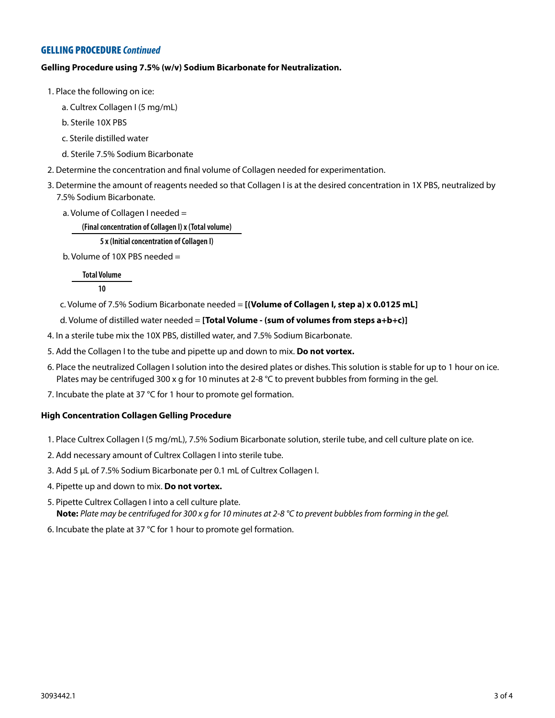# GELLING PROCEDURE *Continued*

## **Gelling Procedure using 7.5% (w/v) Sodium Bicarbonate for Neutralization.**

- 1. Place the following on ice:
	- a. Cultrex Collagen I (5 mg/mL)
	- b. Sterile 10X PBS
	- c. Sterile distilled water
	- d. Sterile 7.5% Sodium Bicarbonate
- 2. Determine the concentration and final volume of Collagen needed for experimentation.
- 3. Determine the amount of reagents needed so that Collagen I is at the desired concentration in 1X PBS, neutralized by 7.5% Sodium Bicarbonate.
	- a. Volume of Collagen I needed =

**(Final concentration of Collagen I) x (Total volume)**

**5 x (Initial concentration of Collagen I)**

b. Volume of 10X PBS needed =

**Total Volume**

**10**

c. Volume of 7.5% Sodium Bicarbonate needed = **[(Volume of Collagen I, step a) x 0.0125 mL]**

d. Volume of distilled water needed = **[Total Volume - (sum of volumes from steps a+b+c)]**

4. In a sterile tube mix the 10X PBS, distilled water, and 7.5% Sodium Bicarbonate.

- 5. Add the Collagen I to the tube and pipette up and down to mix. **Do not vortex.**
- 6. Place the neutralized Collagen I solution into the desired plates or dishes. This solution is stable for up to 1 hour on ice. Plates may be centrifuged 300 x g for 10 minutes at 2-8 °C to prevent bubbles from forming in the gel.
- 7. Incubate the plate at 37 °C for 1 hour to promote gel formation.

#### **High Concentration Collagen Gelling Procedure**

- 1. Place Cultrex Collagen I (5 mg/mL), 7.5% Sodium Bicarbonate solution, sterile tube, and cell culture plate on ice.
- 2. Add necessary amount of Cultrex Collagen I into sterile tube.
- 3. Add 5 µL of 7.5% Sodium Bicarbonate per 0.1 mL of Cultrex Collagen I.
- 4. Pipette up and down to mix. **Do not vortex.**
- 5. Pipette Cultrex Collagen I into a cell culture plate. **Note:** *Plate may be centrifuged for 300 x g for 10 minutes at 2-8 °C to prevent bubbles from forming in the gel.*
- 6. Incubate the plate at 37 °C for 1 hour to promote gel formation.